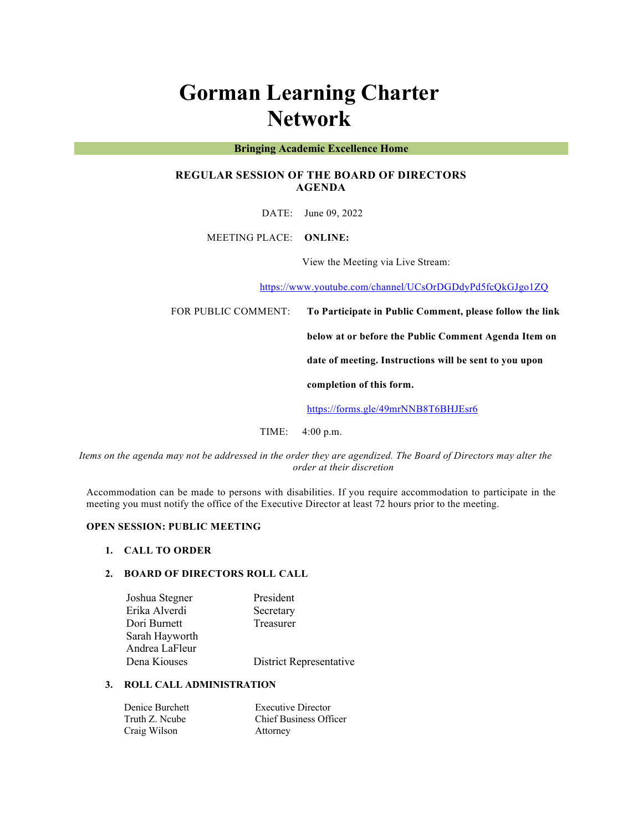# **Gorman Learning Charter Network**

#### **Bringing Academic Excellence Home**

# **REGULAR SESSION OF THE BOARD OF DIRECTORS AGENDA**

DATE: June 09, 2022

MEETING PLACE: **ONLINE:** 

View the Meeting via Live Stream:

https://www.youtube.com/channel/UCsOrDGDdyPd5fcQkGJgo1ZQ

FOR PUBLIC COMMENT: **To Participate in Public Comment, please follow the link** 

**below at or before the Public Comment Agenda Item on** 

**date of meeting. Instructions will be sent to you upon** 

**completion of this form.**

https://forms.gle/49mrNNB8T6BHJEsr6

TIME: 4:00 p.m.

*Items on the agenda may not be addressed in the order they are agendized. The Board of Directors may alter the order at their discretion*

Accommodation can be made to persons with disabilities. If you require accommodation to participate in the meeting you must notify the office of the Executive Director at least 72 hours prior to the meeting.

## **OPEN SESSION: PUBLIC MEETING**

#### **1. CALL TO ORDER**

## **2. BOARD OF DIRECTORS ROLL CALL**

| Joshua Stegner | President               |
|----------------|-------------------------|
| Erika Alverdi  | Secretary               |
| Dori Burnett   | Treasurer               |
| Sarah Hayworth |                         |
| Andrea LaFleur |                         |
| Dena Kiouses   | District Representative |
|                |                         |

# **3. ROLL CALL ADMINISTRATION**

| Denice Burchett | <b>Executive Director</b>     |
|-----------------|-------------------------------|
| Truth Z. Ncube  | <b>Chief Business Officer</b> |
| Craig Wilson    | Attorney                      |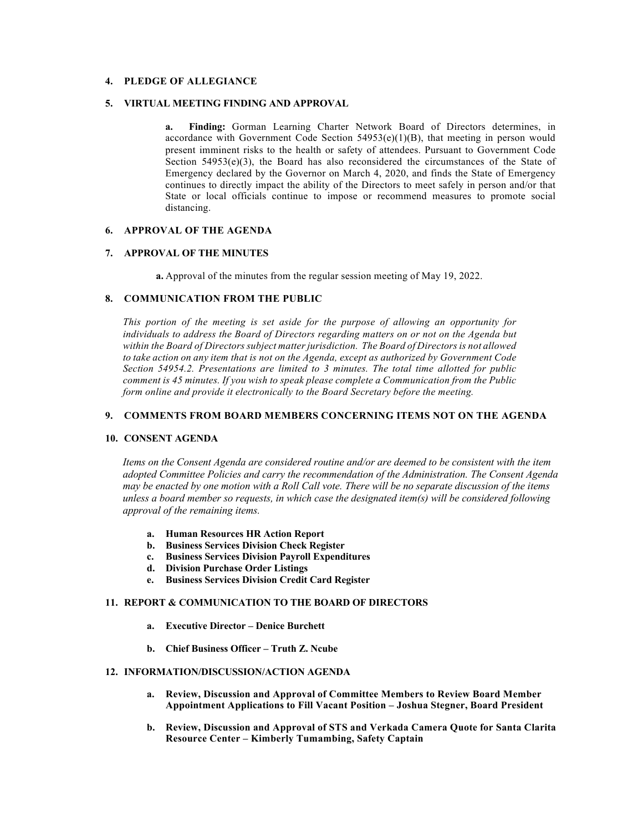# **4. PLEDGE OF ALLEGIANCE**

### **5. VIRTUAL MEETING FINDING AND APPROVAL**

**a. Finding:** Gorman Learning Charter Network Board of Directors determines, in accordance with Government Code Section  $54953(e)(1)(B)$ , that meeting in person would present imminent risks to the health or safety of attendees. Pursuant to Government Code Section  $54953(e)(3)$ , the Board has also reconsidered the circumstances of the State of Emergency declared by the Governor on March 4, 2020, and finds the State of Emergency continues to directly impact the ability of the Directors to meet safely in person and/or that State or local officials continue to impose or recommend measures to promote social distancing.

#### **6. APPROVAL OF THE AGENDA**

#### **7. APPROVAL OF THE MINUTES**

**a.** Approval of the minutes from the regular session meeting of May 19, 2022.

### **8. COMMUNICATION FROM THE PUBLIC**

*This portion of the meeting is set aside for the purpose of allowing an opportunity for individuals to address the Board of Directors regarding matters on or not on the Agenda but within the Board of Directors subject matter jurisdiction. The Board of Directors is not allowed to take action on any item that is not on the Agenda, except as authorized by Government Code Section 54954.2. Presentations are limited to 3 minutes. The total time allotted for public comment is 45 minutes. If you wish to speak please complete a Communication from the Public form online and provide it electronically to the Board Secretary before the meeting.*

# **9. COMMENTS FROM BOARD MEMBERS CONCERNING ITEMS NOT ON THE AGENDA**

#### **10. CONSENT AGENDA**

*Items on the Consent Agenda are considered routine and/or are deemed to be consistent with the item adopted Committee Policies and carry the recommendation of the Administration. The Consent Agenda may be enacted by one motion with a Roll Call vote. There will be no separate discussion of the items unless a board member so requests, in which case the designated item(s) will be considered following approval of the remaining items.*

- **a. Human Resources HR Action Report**
- **b. Business Services Division Check Register**
- **c. Business Services Division Payroll Expenditures**
- **d. Division Purchase Order Listings**
- **e. Business Services Division Credit Card Register**

#### **11. REPORT & COMMUNICATION TO THE BOARD OF DIRECTORS**

- **a. Executive Director – Denice Burchett**
- **b. Chief Business Officer – Truth Z. Ncube**

#### **12. INFORMATION/DISCUSSION/ACTION AGENDA**

- **a. Review, Discussion and Approval of Committee Members to Review Board Member Appointment Applications to Fill Vacant Position – Joshua Stegner, Board President**
- **b. Review, Discussion and Approval of STS and Verkada Camera Quote for Santa Clarita Resource Center – Kimberly Tumambing, Safety Captain**